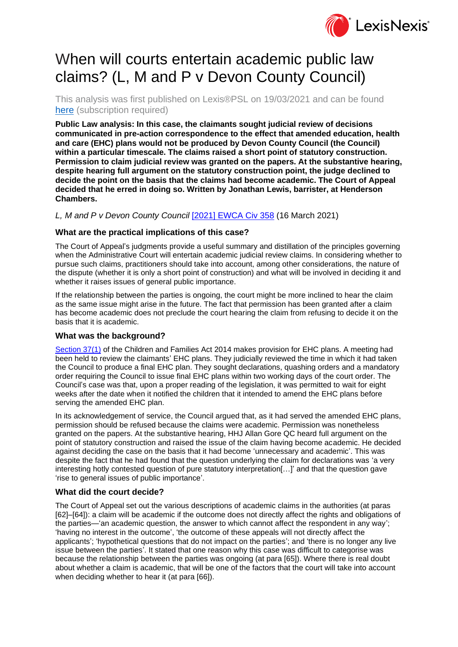

# When will courts entertain academic public law claims? (L, M and P v Devon County Council)

This analysis was first published on Lexis®PSL on 19/03/2021 and can be found [here](https://www.lexisnexis.com/uk/lexispsl/localgovernment/docfromresult/D-WA-A-VA-VA-MsSAYWC-UUW-UZEYAAUUW-U-U-U-U-U-U-AZAEAEAVCC-AZAZDDWWCC-VADADAVUU-U-U/1/412012?lni=627R-TK83-GXFD-852P-00000-00https://www.lexisnexis.com/uk/lexispsl/localgovernment/docfromresult/D-WA-A-VA-VA-MsSAYWC-UUW-UZEYAAUUW-U-U-U-U-U-U-AZAEAEAVCC-AZAZDDWWCC-VADADAVUU-U-U/1/412012?lni=627R-TK83-GXFD-852P-00000-00) (subscription required)

**Public Law analysis: In this case, the claimants sought judicial review of decisions communicated in pre-action correspondence to the effect that amended education, health and care (EHC) plans would not be produced by Devon County Council (the Council) within a particular timescale. The claims raised a short point of statutory construction. Permission to claim judicial review was granted on the papers. At the substantive hearing, despite hearing full argument on the statutory construction point, the judge declined to decide the point on the basis that the claims had become academic. The Court of Appeal decided that he erred in doing so. Written by Jonathan Lewis, barrister, at Henderson Chambers.**

*L, M and P v Devon County Council* [\[2021\] EWCA Civ 358](https://www.lexisnexis.com/uk/lexispsl/localgovernment/citationlinkHandler.faces?bct=A&service=citation&risb=&EWCACIV&$sel1!%252021%25$year!%252021%25$page!%25358%25) (16 March 2021)

### **What are the practical implications of this case?**

The Court of Appeal's judgments provide a useful summary and distillation of the principles governing when the Administrative Court will entertain academic judicial review claims. In considering whether to pursue such claims, practitioners should take into account, among other considerations, the nature of the dispute (whether it is only a short point of construction) and what will be involved in deciding it and whether it raises issues of general public importance.

If the relationship between the parties is ongoing, the court might be more inclined to hear the claim as the same issue might arise in the future. The fact that permission has been granted after a claim has become academic does not preclude the court hearing the claim from refusing to decide it on the basis that it is academic.

## **What was the background?**

[Section 37\(1\)](https://www.lexisnexis.com/uk/lexispsl/localgovernment/citationlinkHandler.faces?bct=A&service=citation&risb=&UK_ACTS&$num!%252014_6a%25$section!%2537%25$sect!%2537%25) of the Children and Families Act 2014 makes provision for EHC plans. A meeting had been held to review the claimants' EHC plans. They judicially reviewed the time in which it had taken the Council to produce a final EHC plan. They sought declarations, quashing orders and a mandatory order requiring the Council to issue final EHC plans within two working days of the court order. The Council's case was that, upon a proper reading of the legislation, it was permitted to wait for eight weeks after the date when it notified the children that it intended to amend the EHC plans before serving the amended EHC plan.

In its acknowledgement of service, the Council argued that, as it had served the amended EHC plans, permission should be refused because the claims were academic. Permission was nonetheless granted on the papers. At the substantive hearing, HHJ Allan Gore QC heard full argument on the point of statutory construction and raised the issue of the claim having become academic. He decided against deciding the case on the basis that it had become 'unnecessary and academic'. This was despite the fact that he had found that the question underlying the claim for declarations was 'a very interesting hotly contested question of pure statutory interpretation[…]' and that the question gave 'rise to general issues of public importance'.

#### **What did the court decide?**

The Court of Appeal set out the various descriptions of academic claims in the authorities (at paras [62]–[64]): a claim will be academic if the outcome does not directly affect the rights and obligations of the parties—'an academic question, the answer to which cannot affect the respondent in any way'; 'having no interest in the outcome', 'the outcome of these appeals will not directly affect the applicants'; 'hypothetical questions that do not impact on the parties'; and 'there is no longer any live issue between the parties'. It stated that one reason why this case was difficult to categorise was because the relationship between the parties was ongoing (at para [65]). Where there is real doubt about whether a claim is academic, that will be one of the factors that the court will take into account when deciding whether to hear it (at para [66]).